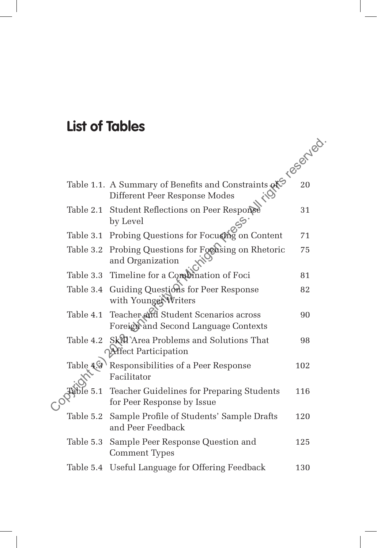## **List of Tables**

 $\overline{\phantom{a}}$ 

|  |               | Table 1.1. A Summary of Benefits and Constraints of Escape 20<br>Different Peer Response Modes<br>Table 2.1 Student Reflections on Peer Response |     |
|--|---------------|--------------------------------------------------------------------------------------------------------------------------------------------------|-----|
|  |               |                                                                                                                                                  |     |
|  |               |                                                                                                                                                  |     |
|  |               | Table 3.1 Probing Questions for Focusing on Content                                                                                              | 71  |
|  |               | Table 3.2 Probing Questions for Foodsing on Rhetoric<br>and Organization                                                                         | 75  |
|  |               | Table 3.3 Timeline for a Combination of Foci                                                                                                     | 81  |
|  |               | Table 3.4 Guiding Questions for Peer Response<br>with Younger Writers                                                                            | 82  |
|  | Table 4.1     | Teacher and Student Scenarios across<br>Foreign and Second Language Contexts                                                                     | 90  |
|  | Table 4.2     | Skt0'Area Problems and Solutions That<br><b>Affect Participation</b>                                                                             | 98  |
|  |               | Table 4.9 \ Responsibilities of a Peer Response<br>Facilitator                                                                                   | 102 |
|  | $\frac{1}{2}$ | Teacher Guidelines for Preparing Students<br>for Peer Response by Issue                                                                          | 116 |
|  | Table 5.2     | Sample Profile of Students' Sample Drafts<br>and Peer Feedback                                                                                   | 120 |
|  | Table 5.3     | Sample Peer Response Question and<br><b>Comment Types</b>                                                                                        | 125 |
|  | Table 5.4     | Useful Language for Offering Feedback                                                                                                            | 130 |